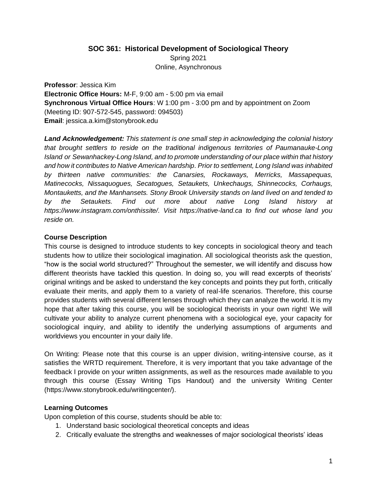#### **SOC 361: Historical Development of Sociological Theory**

Spring 2021 Online, Asynchronous

**Professor**: Jessica Kim **Electronic Office Hours:** M-F, 9:00 am - 5:00 pm via email **Synchronous Virtual Office Hours**: W 1:00 pm - 3:00 pm and by appointment on Zoom (Meeting ID: 907-572-545, password: 094503) **Email**: jessica.a.kim@stonybrook.edu

**Land Acknowledgement:** This statement is one small step in acknowledging the colonial history *that brought settlers to reside on the traditional indigenous territories of Paumanauke-Long Island or Sewanhackey-Long Island, and to promote understanding of our place within that history and how it contributes to Native American hardship. Prior to settlement, Long Island was inhabited by thirteen native communities: the Canarsies, Rockaways, Merricks, Massapequas, Matinecocks, Nissaquogues, Secatogues, Setaukets, Unkechaugs, Shinnecocks, Corhaugs, Montauketts, and the Manhansets. Stony Brook University stands on land lived on and tended to by the Setaukets. Find out more about native Long Island history at https://www.instagram.com/onthissite/. Visit https://native-land.ca to find out whose land you reside on.*

### **Course Description**

This course is designed to introduce students to key concepts in sociological theory and teach students how to utilize their sociological imagination. All sociological theorists ask the question, "how is the social world structured?" Throughout the semester, we will identify and discuss how different theorists have tackled this question. In doing so, you will read excerpts of theorists' original writings and be asked to understand the key concepts and points they put forth, critically evaluate their merits, and apply them to a variety of real-life scenarios. Therefore, this course provides students with several different lenses through which they can analyze the world. It is my hope that after taking this course, you will be sociological theorists in your own right! We will cultivate your ability to analyze current phenomena with a sociological eye, your capacity for sociological inquiry, and ability to identify the underlying assumptions of arguments and worldviews you encounter in your daily life.

On Writing: Please note that this course is an upper division, writing-intensive course, as it satisfies the WRTD requirement. Therefore, it is very important that you take advantage of the feedback I provide on your written assignments, as well as the resources made available to you through this course (Essay Writing Tips Handout) and the university Writing Center (https://www.stonybrook.edu/writingcenter/).

# **Learning Outcomes**

Upon completion of this course, students should be able to:

- 1. Understand basic sociological theoretical concepts and ideas
- 2. Critically evaluate the strengths and weaknesses of major sociological theorists' ideas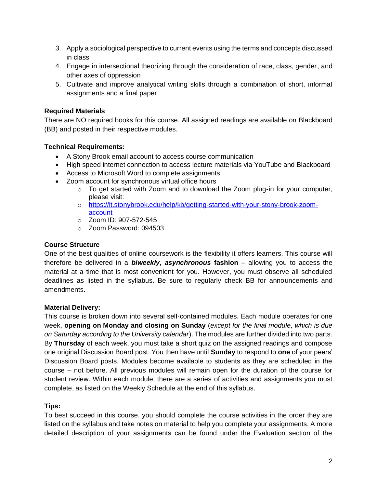- 3. Apply a sociological perspective to current events using the terms and concepts discussed in class
- 4. Engage in intersectional theorizing through the consideration of race, class, gender, and other axes of oppression
- 5. Cultivate and improve analytical writing skills through a combination of short, informal assignments and a final paper

### **Required Materials**

There are NO required books for this course. All assigned readings are available on Blackboard (BB) and posted in their respective modules.

### **Technical Requirements:**

- A Stony Brook email account to access course communication
- High speed internet connection to access lecture materials via YouTube and Blackboard
- Access to Microsoft Word to complete assignments
- Zoom account for synchronous virtual office hours
	- $\circ$  To get started with Zoom and to download the Zoom plug-in for your computer, please visit:
	- o [https://it.stonybrook.edu/help/kb/getting-started-with-your-stony-brook-zoom](https://it.stonybrook.edu/help/kb/getting-started-with-your-stony-brook-zoom-account)[account](https://it.stonybrook.edu/help/kb/getting-started-with-your-stony-brook-zoom-account)
	- o Zoom ID: 907-572-545
	- o Zoom Password: 094503

#### **Course Structure**

One of the best qualities of online coursework is the flexibility it offers learners. This course will therefore be delivered in a *biweekly***,** *asynchronous* **fashion** *–* allowing you to access the material at a time that is most convenient for you. However, you must observe all scheduled deadlines as listed in the syllabus. Be sure to regularly check BB for announcements and amendments.

### **Material Delivery:**

This course is broken down into several self-contained modules. Each module operates for one week, **opening on Monday and closing on Sunday** (*except for the final module, which is due on Saturday according to the University calendar*). The modules are further divided into two parts. By **Thursday** of each week, you must take a short quiz on the assigned readings and compose one original Discussion Board post. You then have until **Sunday** to respond to **one** of your peers' Discussion Board posts. Modules become available to students as they are scheduled in the course – not before. All previous modules will remain open for the duration of the course for student review. Within each module, there are a series of activities and assignments you must complete, as listed on the Weekly Schedule at the end of this syllabus.

### **Tips:**

To best succeed in this course, you should complete the course activities in the order they are listed on the syllabus and take notes on material to help you complete your assignments. A more detailed description of your assignments can be found under the Evaluation section of the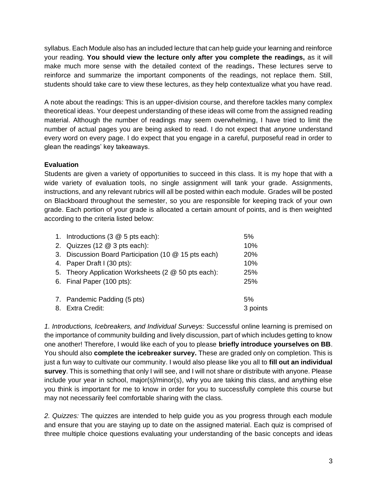syllabus. Each Module also has an included lecture that can help guide your learning and reinforce your reading. **You should view the lecture only after you complete the readings,** as it will make much more sense with the detailed context of the readings**.** These lectures serve to reinforce and summarize the important components of the readings, not replace them. Still, students should take care to view these lectures, as they help contextualize what you have read.

A note about the readings: This is an upper-division course, and therefore tackles many complex theoretical ideas. Your deepest understanding of these ideas will come from the assigned reading material. Although the number of readings may seem overwhelming, I have tried to limit the number of actual pages you are being asked to read. I do not expect that *anyone* understand every word on every page. I do expect that you engage in a careful, purposeful read in order to glean the readings' key takeaways.

### **Evaluation**

Students are given a variety of opportunities to succeed in this class. It is my hope that with a wide variety of evaluation tools, no single assignment will tank your grade. Assignments, instructions, and any relevant rubrics will all be posted within each module. Grades will be posted on Blackboard throughout the semester, so you are responsible for keeping track of your own grade. Each portion of your grade is allocated a certain amount of points, and is then weighted according to the criteria listed below:

| 1. Introductions (3 @ 5 pts each):                   | 5%       |
|------------------------------------------------------|----------|
| 2. Quizzes (12 $@$ 3 pts each):                      | 10%      |
| 3. Discussion Board Participation (10 @ 15 pts each) | 20%      |
| 4. Paper Draft I (30 pts):                           | 10%      |
| 5. Theory Application Worksheets (2 @ 50 pts each):  | 25%      |
| 6. Final Paper (100 pts):                            | 25%      |
| 7. Pandemic Padding (5 pts)                          | 5%       |
| 8. Extra Credit:                                     | 3 points |

*1. Introductions, Icebreakers, and Individual Surveys:* Successful online learning is premised on the importance of community building and lively discussion, part of which includes getting to know one another! Therefore, I would like each of you to please **briefly introduce yourselves on BB**. You should also **complete the icebreaker survey.** These are graded only on completion. This is just a fun way to cultivate our community. I would also please like you all to **fill out an individual survey**. This is something that only I will see, and I will not share or distribute with anyone. Please include your year in school, major(s)/minor(s), why you are taking this class, and anything else you think is important for me to know in order for you to successfully complete this course but may not necessarily feel comfortable sharing with the class.

*2. Quizzes:* The quizzes are intended to help guide you as you progress through each module and ensure that you are staying up to date on the assigned material. Each quiz is comprised of three multiple choice questions evaluating your understanding of the basic concepts and ideas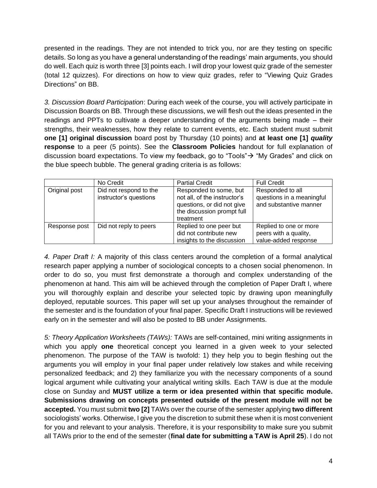presented in the readings. They are not intended to trick you, nor are they testing on specific details. So long as you have a general understanding of the readings' main arguments, you should do well. Each quiz is worth three [3] points each. I will drop your lowest quiz grade of the semester (total 12 quizzes). For directions on how to view quiz grades, refer to "Viewing Quiz Grades Directions" on BB.

*3. Discussion Board Participation*: During each week of the course, you will actively participate in Discussion Boards on BB. Through these discussions, we will flesh out the ideas presented in the readings and PPTs to cultivate a deeper understanding of the arguments being made – their strengths, their weaknesses, how they relate to current events, etc. Each student must submit **one [1] original discussion** board post by Thursday (10 points) and **at least one [1]** *quality* **response** to a peer (5 points). See the **Classroom Policies** handout for full explanation of discussion board expectations. To view my feedback, go to "Tools"→ "My Grades" and click on the blue speech bubble. The general grading criteria is as follows:

|               | No Credit                                        | <b>Partial Credit</b>                                                                                                           | <b>Full Credit</b>                                                      |
|---------------|--------------------------------------------------|---------------------------------------------------------------------------------------------------------------------------------|-------------------------------------------------------------------------|
| Original post | Did not respond to the<br>instructor's questions | Responded to some, but<br>not all, of the instructor's<br>questions, or did not give<br>the discussion prompt full<br>treatment | Responded to all<br>questions in a meaningful<br>and substantive manner |
| Response post | Did not reply to peers                           | Replied to one peer but<br>did not contribute new<br>insights to the discussion                                                 | Replied to one or more<br>peers with a quality,<br>value-added response |

*4. Paper Draft I:* A majority of this class centers around the completion of a formal analytical research paper applying a number of sociological concepts to a chosen social phenomenon. In order to do so, you must first demonstrate a thorough and complex understanding of the phenomenon at hand. This aim will be achieved through the completion of Paper Draft I, where you will thoroughly explain and describe your selected topic by drawing upon meaningfully deployed, reputable sources. This paper will set up your analyses throughout the remainder of the semester and is the foundation of your final paper. Specific Draft I instructions will be reviewed early on in the semester and will also be posted to BB under Assignments.

*5: Theory Application Worksheets (TAWs):* TAWs are self-contained, mini writing assignments in which you apply **one** theoretical concept you learned in a given week to your selected phenomenon. The purpose of the TAW is twofold: 1) they help you to begin fleshing out the arguments you will employ in your final paper under relatively low stakes and while receiving personalized feedback; and 2) they familiarize you with the necessary components of a sound logical argument while cultivating your analytical writing skills. Each TAW is due at the module close on Sunday and **MUST utilize a term or idea presented within that specific module. Submissions drawing on concepts presented outside of the present module will not be accepted.** You must submit **two [2]** TAWs over the course of the semester applying **two different** sociologists' works. Otherwise, I give you the discretion to submit these when it is most convenient for you and relevant to your analysis. Therefore, it is your responsibility to make sure you submit all TAWs prior to the end of the semester (**final date for submitting a TAW is April 25**). I do not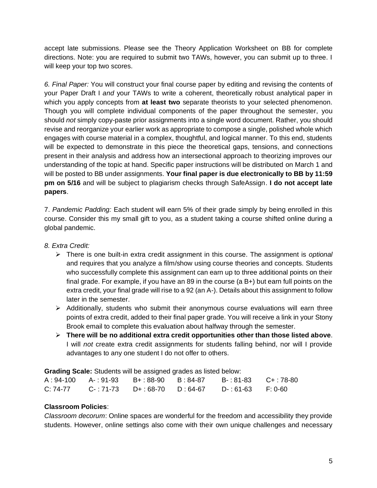accept late submissions. Please see the Theory Application Worksheet on BB for complete directions. Note: you are required to submit two TAWs, however, you can submit up to three. I will keep your top two scores.

*6. Final Paper:* You will construct your final course paper by editing and revising the contents of your Paper Draft I *and* your TAWs to write a coherent, theoretically robust analytical paper in which you apply concepts from **at least two** separate theorists to your selected phenomenon. Though you will complete individual components of the paper throughout the semester, you should *not* simply copy-paste prior assignments into a single word document. Rather, you should revise and reorganize your earlier work as appropriate to compose a single, polished whole which engages with course material in a complex, thoughtful, and logical manner. To this end, students will be expected to demonstrate in this piece the theoretical gaps, tensions, and connections present in their analysis and address how an intersectional approach to theorizing improves our understanding of the topic at hand. Specific paper instructions will be distributed on March 1 and will be posted to BB under assignments. **Your final paper is due electronically to BB by 11:59 pm on 5/16** and will be subject to plagiarism checks through SafeAssign. **I do not accept late papers**.

7. *Pandemic Padding:* Each student will earn 5% of their grade simply by being enrolled in this course. Consider this my small gift to you, as a student taking a course shifted online during a global pandemic.

### *8. Extra Credit:*

- ➢ There is one built-in extra credit assignment in this course. The assignment is *optional* and requires that you analyze a film/show using course theories and concepts. Students who successfully complete this assignment can earn up to three additional points on their final grade. For example, if you have an 89 in the course (a B+) but earn full points on the extra credit, your final grade will rise to a 92 (an A-). Details about this assignment to follow later in the semester.
- ➢ Additionally, students who submit their anonymous course evaluations will earn three points of extra credit, added to their final paper grade. You will receive a link in your Stony Brook email to complete this evaluation about halfway through the semester.
- ➢ **There will be no additional extra credit opportunities other than those listed above**. I will *not* create extra credit assignments for students falling behind, nor will I provide advantages to any one student I do not offer to others.

**Grading Scale:** Students will be assigned grades as listed below:

|          | A: 94-100 A-: 91-93 B+: 88-90 B: 84-87 | B-:81-83 C+:78-80 |  |
|----------|----------------------------------------|-------------------|--|
| C: 74-77 | C-:71-73 D+:68-70 D:64-67              | D-:61-63 F:0-60   |  |

### **Classroom Policies**:

*Classroom decorum*: Online spaces are wonderful for the freedom and accessibility they provide students. However, online settings also come with their own unique challenges and necessary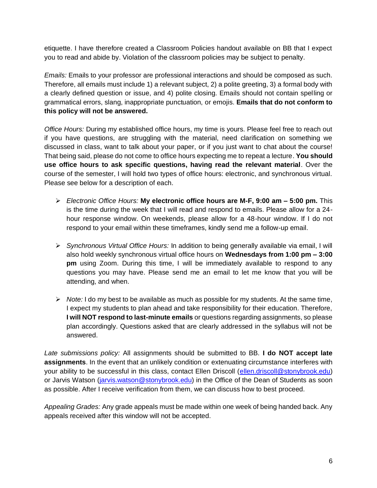etiquette. I have therefore created a Classroom Policies handout available on BB that I expect you to read and abide by. Violation of the classroom policies may be subject to penalty.

*Emails:* Emails to your professor are professional interactions and should be composed as such. Therefore, all emails must include 1) a relevant subject, 2) a polite greeting, 3) a formal body with a clearly defined question or issue, and 4) polite closing. Emails should not contain spelling or grammatical errors, slang, inappropriate punctuation, or emojis. **Emails that do not conform to this policy will not be answered.**

*Office Hours:* During my established office hours, my time is yours. Please feel free to reach out if you have questions, are struggling with the material, need clarification on something we discussed in class, want to talk about your paper, or if you just want to chat about the course! That being said, please do not come to office hours expecting me to repeat a lecture. **You should use office hours to ask specific questions, having read the relevant material**. Over the course of the semester, I will hold two types of office hours: electronic, and synchronous virtual. Please see below for a description of each.

- ➢ *Electronic Office Hours:* **My electronic office hours are M-F, 9:00 am – 5:00 pm.** This is the time during the week that I will read and respond to emails. Please allow for a 24 hour response window. On weekends, please allow for a 48-hour window. If I do not respond to your email within these timeframes, kindly send me a follow-up email.
- ➢ *Synchronous Virtual Office Hours:* In addition to being generally available via email, I will also hold weekly synchronous virtual office hours on **Wednesdays from 1:00 pm – 3:00 pm** using Zoom. During this time, I will be immediately available to respond to any questions you may have. Please send me an email to let me know that you will be attending, and when.
- ➢ *Note:* I do my best to be available as much as possible for my students. At the same time, I expect my students to plan ahead and take responsibility for their education. Therefore, **I will NOT respond to last-minute emails** or questions regarding assignments, so please plan accordingly. Questions asked that are clearly addressed in the syllabus will not be answered.

*Late submissions policy:* All assignments should be submitted to BB. **I do NOT accept late assignments**. In the event that an unlikely condition or extenuating circumstance interferes with your ability to be successful in this class, contact Ellen Driscoll [\(ellen.driscoll@stonybrook.edu\)](mailto:ellen.driscoll@stonybrook.edu) or Jarvis Watson [\(jarvis.watson@stonybrook.edu\)](mailto:jarvis.watson@stonybrook.edu) in the Office of the Dean of Students as soon as possible. After I receive verification from them, we can discuss how to best proceed.

*Appealing Grades:* Any grade appeals must be made within one week of being handed back. Any appeals received after this window will not be accepted.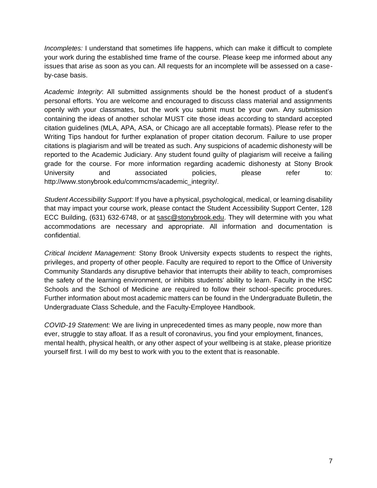*Incompletes:* I understand that sometimes life happens, which can make it difficult to complete your work during the established time frame of the course. Please keep me informed about any issues that arise as soon as you can. All requests for an incomplete will be assessed on a caseby-case basis.

*Academic Integrity*: All submitted assignments should be the honest product of a student's personal efforts. You are welcome and encouraged to discuss class material and assignments openly with your classmates, but the work you submit must be your own. Any submission containing the ideas of another scholar MUST cite those ideas according to standard accepted citation guidelines (MLA, APA, ASA, or Chicago are all acceptable formats). Please refer to the Writing Tips handout for further explanation of proper citation decorum. Failure to use proper citations is plagiarism and will be treated as such. Any suspicions of academic dishonesty will be reported to the Academic Judiciary. Any student found guilty of plagiarism will receive a failing grade for the course. For more information regarding academic dishonesty at Stony Brook University and associated policies, please refer to: http://www.stonybrook.edu/commcms/academic\_integrity/.

*Student Accessibility Support:* If you have a physical, psychological, medical, or learning disability that may impact your course work, please contact the Student Accessibility Support Center, 128 ECC Building, (631) 632-6748, or at [sasc@stonybrook.edu.](mailto:sasc@stonybrook.edu) They will determine with you what accommodations are necessary and appropriate. All information and documentation is confidential.

*Critical Incident Management:* Stony Brook University expects students to respect the rights, privileges, and property of other people. Faculty are required to report to the Office of University Community Standards any disruptive behavior that interrupts their ability to teach, compromises the safety of the learning environment, or inhibits students' ability to learn. Faculty in the HSC Schools and the School of Medicine are required to follow their school-specific procedures. Further information about most academic matters can be found in the Undergraduate Bulletin, the Undergraduate Class Schedule, and the Faculty-Employee Handbook.

*COVID-19 Statement:* We are living in unprecedented times as many people, now more than ever, struggle to stay afloat. If as a result of coronavirus, you find your employment, finances, mental health, physical health, or any other aspect of your wellbeing is at stake, please prioritize yourself first. I will do my best to work with you to the extent that is reasonable.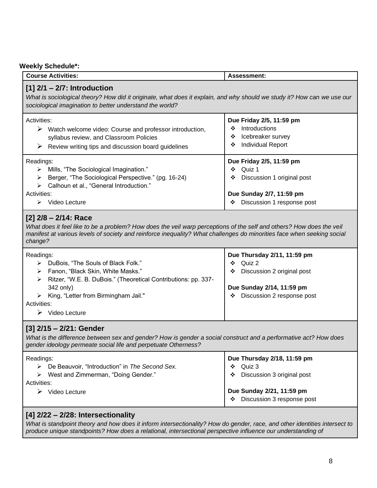# **Weekly Schedule\*:**

| . veekiy scriegule                                                                                                                                                                                                                                                                  |                                                                                                                                               |  |  |
|-------------------------------------------------------------------------------------------------------------------------------------------------------------------------------------------------------------------------------------------------------------------------------------|-----------------------------------------------------------------------------------------------------------------------------------------------|--|--|
| <b>Course Activities:</b>                                                                                                                                                                                                                                                           | Assessment:                                                                                                                                   |  |  |
| $[1]$ 2/1 – 2/7: Introduction<br>What is sociological theory? How did it originate, what does it explain, and why should we study it? How can we use our<br>sociological imagination to better understand the world?                                                                |                                                                                                                                               |  |  |
| Activities:<br>Watch welcome video: Course and professor introduction,<br>➤<br>syllabus review, and Classroom Policies<br>Review writing tips and discussion board guidelines<br>➤                                                                                                  | Due Friday 2/5, 11:59 pm<br>Introductions<br>❖<br>Icebreaker survey<br>❖<br><b>Individual Report</b><br>❖                                     |  |  |
| Readings:<br>> Mills, "The Sociological Imagination."<br>Berger, "The Sociological Perspective." (pg. 16-24)<br>➤<br>Calhoun et al., "General Introduction."<br>≻<br>Activities:<br>$\triangleright$ Video Lecture                                                                  | Due Friday 2/5, 11:59 pm<br>$\div$ Quiz 1<br>Discussion 1 original post<br>❖<br>Due Sunday 2/7, 11:59 pm<br>Discussion 1 response post<br>❖   |  |  |
| $[2]$ 2/8 - 2/14: Race<br>What does it feel like to be a problem? How does the veil warp perceptions of the self and others? How does the veil<br>manifest at various levels of society and reinforce inequality? What challenges do minorities face when seeking social<br>change? |                                                                                                                                               |  |  |
| Readings:<br>> DuBois, "The Souls of Black Folk."<br>Fanon, "Black Skin, White Masks."<br>➤<br>Ritzer, "W.E. B. DuBois." (Theoretical Contributions: pp. 337-<br>⋗<br>342 only)<br>King, "Letter from Birmingham Jail."<br>Activities:<br>$\triangleright$ Video Lecture            | Due Thursday 2/11, 11:59 pm<br>Quiz 2<br>❖<br>Discussion 2 original post<br>❖<br>Due Sunday 2/14, 11:59 pm<br>Discussion 2 response post<br>❖ |  |  |
| [3] 2/15 - 2/21: Gender<br>What is the difference between sex and gender? How is gender a social construct and a performative act? How does<br>gender ideology permeate social life and perpetuate Otherness?                                                                       |                                                                                                                                               |  |  |
| Readings:<br>De Beauvoir, "Introduction" in The Second Sex.<br>➤<br>West and Zimmerman, "Doing Gender."<br>Activities:<br>$\triangleright$ Video Lecture                                                                                                                            | Due Thursday 2/18, 11:59 pm<br>Quiz 3<br>❖<br>Discussion 3 original post<br>❖<br>Due Sunday 2/21, 11:59 pm                                    |  |  |

# **[4] 2/22 – 2/28: Intersectionality**

*What is standpoint theory and how does it inform intersectionality? How do gender, race, and other identities intersect to produce unique standpoints? How does a relational, intersectional perspective influence our understanding of* 

❖ Discussion 3 response post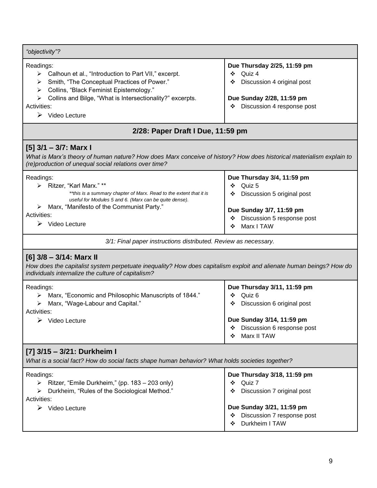| "objectivity"?                                                                                                                                                                                                                                                                        |                                                                                                                                                                      |  |  |  |
|---------------------------------------------------------------------------------------------------------------------------------------------------------------------------------------------------------------------------------------------------------------------------------------|----------------------------------------------------------------------------------------------------------------------------------------------------------------------|--|--|--|
| Readings:<br>> Calhoun et al., "Introduction to Part VII," excerpt.<br>Smith, "The Conceptual Practices of Power."<br>➤<br>Collins, "Black Feminist Epistemology."<br>➤<br>Collins and Bilge, "What is Intersectionality?" excerpts.<br>Activities:<br>$\triangleright$ Video Lecture | Due Thursday 2/25, 11:59 pm<br>Quiz 4<br>❖<br>Discussion 4 original post<br>❖<br>Due Sunday 2/28, 11:59 pm<br>Discussion 4 response post<br>❖                        |  |  |  |
| 2/28: Paper Draft I Due, 11:59 pm                                                                                                                                                                                                                                                     |                                                                                                                                                                      |  |  |  |
| $[5]$ 3/1 – 3/7: Marx I<br>What is Marx's theory of human nature? How does Marx conceive of history? How does historical materialism explain to<br>(re)production of unequal social relations over time?                                                                              |                                                                                                                                                                      |  |  |  |
| Readings:<br>> Ritzer, "Karl Marx." **<br>**this is a summary chapter of Marx. Read to the extent that it is<br>useful for Modules 5 and 6. (Marx can be quite dense).<br>Marx, "Manifesto of the Communist Party."<br>➤<br>Activities:<br>$\triangleright$ Video Lecture             | Due Thursday 3/4, 11:59 pm<br>Quiz 5<br>❖<br>Discussion 5 original post<br>❖<br>Due Sunday 3/7, 11:59 pm<br>Discussion 5 response post<br>❖<br>Marx I TAW<br>❖       |  |  |  |
| 3/1: Final paper instructions distributed. Review as necessary.                                                                                                                                                                                                                       |                                                                                                                                                                      |  |  |  |
| $[6]$ 3/8 - 3/14: Marx II<br>How does the capitalist system perpetuate inequality? How does capitalism exploit and alienate human beings? How do<br>individuals internalize the culture of capitalism?                                                                                |                                                                                                                                                                      |  |  |  |
| Readings:<br>Marx, "Economic and Philosophic Manuscripts of 1844."<br>➤<br>Marx, "Wage-Labour and Capital."<br>➤<br>Activities:<br>$\triangleright$ Video Lecture                                                                                                                     | Due Thursday 3/11, 11:59 pm<br>Quiz 6<br>❖<br>Discussion 6 original post<br>❖<br>Due Sunday 3/14, 11:59 pm<br>Discussion 6 response post<br>Marx II TAW<br>❖         |  |  |  |
| [7] 3/15 - 3/21: Durkheim I<br>What is a social fact? How do social facts shape human behavior? What holds societies together?                                                                                                                                                        |                                                                                                                                                                      |  |  |  |
| Readings:<br>Ritzer, "Emile Durkheim," (pp. 183 – 203 only)<br>≻<br>Durkheim, "Rules of the Sociological Method."<br>➤<br>Activities:<br>$\triangleright$ Video Lecture                                                                                                               | Due Thursday 3/18, 11:59 pm<br>Quiz 7<br>❖<br>Discussion 7 original post<br>❖<br>Due Sunday 3/21, 11:59 pm<br>Discussion 7 response post<br>❖<br>Durkheim I TAW<br>❖ |  |  |  |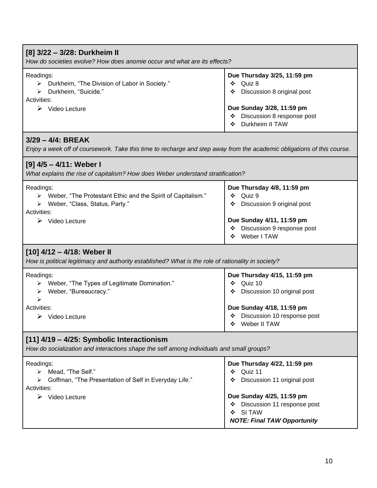| [8] 3/22 - 3/28: Durkheim II<br>How do societies evolve? How does anomie occur and what are its effects?                                                        |                                                                                                                                                                                                       |  |  |
|-----------------------------------------------------------------------------------------------------------------------------------------------------------------|-------------------------------------------------------------------------------------------------------------------------------------------------------------------------------------------------------|--|--|
| Readings:<br>> Durkheim, "The Division of Labor in Society."<br>Durkheim, "Suicide."<br>Activities:<br>$\triangleright$ Video Lecture                           | Due Thursday 3/25, 11:59 pm<br>Quiz 8<br>❖<br>Discussion 8 original post<br>Due Sunday 3/28, 11:59 pm<br>Discussion 8 response post<br>❖<br>Durkheim II TAW                                           |  |  |
| $3/29 - 4/4$ : BREAK<br>Enjoy a week off of coursework. Take this time to recharge and step away from the academic obligations of this course.                  |                                                                                                                                                                                                       |  |  |
| [9] 4/5 – 4/11: Weber I<br>What explains the rise of capitalism? How does Weber understand stratification?                                                      |                                                                                                                                                                                                       |  |  |
| Readings:<br>> Weber, "The Protestant Ethic and the Spirit of Capitalism."<br>> Weber, "Class, Status, Party."<br>Activities:<br>$\triangleright$ Video Lecture | Due Thursday 4/8, 11:59 pm<br>Quiz 9<br>❖<br>Discussion 9 original post<br>❖<br>Due Sunday 4/11, 11:59 pm<br>Discussion 9 response post<br>Weber I TAW<br>❖                                           |  |  |
| $[10]$ 4/12 – 4/18: Weber II<br>How is political legitimacy and authority established? What is the role of rationality in society?                              |                                                                                                                                                                                                       |  |  |
| Readings:<br>> Weber, "The Types of Legitimate Domination."<br>Weber, "Bureaucracy."<br>➤<br>Activities:<br>$\triangleright$ Video Lecture                      | Due Thursday 4/15, 11:59 pm<br>Quiz 10<br>❖<br>Discussion 10 original post<br>❖<br>Due Sunday 4/18, 11:59 pm<br>Discussion 10 response post<br>❖<br>Weber II TAW<br>❖                                 |  |  |
| [11] 4/19 - 4/25: Symbolic Interactionism<br>How do socialization and interactions shape the self among individuals and small groups?                           |                                                                                                                                                                                                       |  |  |
| Readings:<br>Mead, "The Self."<br>≻<br>"Goffman, "The Presentation of Self in Everyday Life."<br>Activities:<br>$\triangleright$ Video Lecture                  | Due Thursday 4/22, 11:59 pm<br>Quiz 11<br>❖<br>Discussion 11 original post<br>❖<br>Due Sunday 4/25, 11:59 pm<br>Discussion 11 response post<br>❖<br>SI TAW<br>❖<br><b>NOTE: Final TAW Opportunity</b> |  |  |